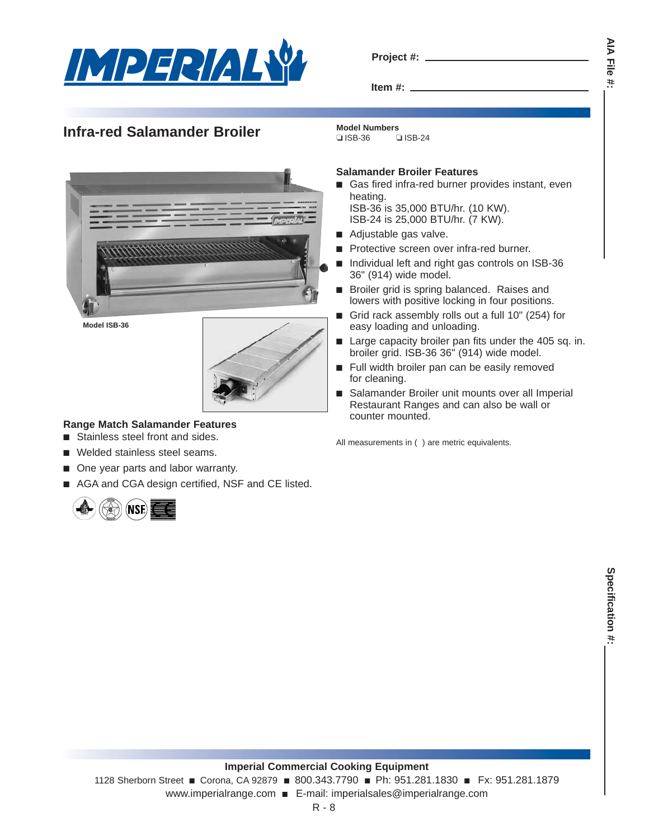

# **Infra-red Salamander Broiler Model Numbers Salamander Broiler Model Numbers**

**Item #:**

# ❏ ISB-36 ❏ ISB-24

**Model ISB-36**



## **Range Match Salamander Features**

- Stainless steel front and sides.
- Welded stainless steel seams.
- One year parts and labor warranty.
- AGA and CGA design certified, NSF and CE listed.



## **Salamander Broiler Features**

- Gas fired infra-red burner provides instant, even heating. ISB-36 is 35,000 BTU/hr. (10 KW).
	- ISB-24 is 25,000 BTU/hr. (7 KW).
- Adjustable gas valve.
- Protective screen over infra-red burner.
- Individual left and right gas controls on ISB-36 36" (914) wide model.
- Broiler grid is spring balanced. Raises and lowers with positive locking in four positions.
- Grid rack assembly rolls out a full 10" (254) for easy loading and unloading.
- Large capacity broiler pan fits under the 405 sq. in. broiler grid. ISB-36 36" (914) wide model.
- Full width broiler pan can be easily removed for cleaning.
- Salamander Broiler unit mounts over all Imperial Restaurant Ranges and can also be wall or counter mounted.

All measurements in ( ) are metric equivalents.